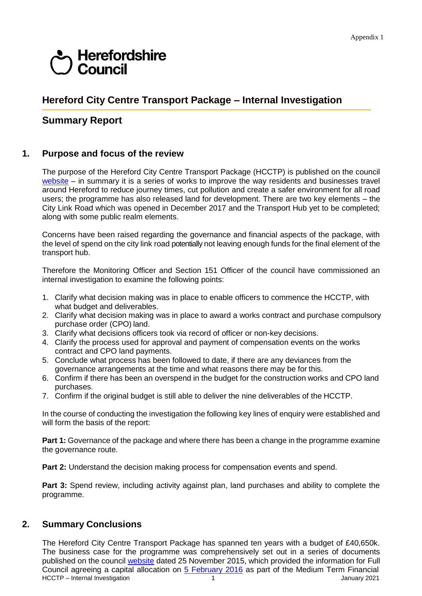# derefordshire<br>depending Council

## **Hereford City Centre Transport Package – Internal Investigation**

### **Summary Report**

#### **1. Purpose and focus of the review**

The purpose of the Hereford City Centre Transport Package (HCCTP) is published on the council  $website$  – in summary it is a series of works to improve the way residents and businesses travel around Hereford to reduce journey times, cut pollution and create a safer environment for all road users; the programme has also released land for development. There are two key elements – the City Link Road which was opened in December 2017 and the Transport Hub yet to be completed; along with some public realm elements.

Concerns have been raised regarding the governance and financial aspects of the package, with the level of spend on the city link road potentially not leaving enough funds for the final element of the transport hub.

Therefore the Monitoring Officer and Section 151 Officer of the council have commissioned an internal investigation to examine the following points:

- 1. Clarify what decision making was in place to enable officers to commence the HCCTP, with what budget and deliverables.
- 2. Clarify what decision making was in place to award a works contract and purchase compulsory purchase order (CPO) land.
- 3. Clarify what decisions officers took via record of officer or non-key decisions.
- 4. Clarify the process used for approval and payment of compensation events on the works contract and CPO land payments.
- 5. Conclude what process has been followed to date, if there are any deviances from the governance arrangements at the time and what reasons there may be for this.
- 6. Confirm if there has been an overspend in the budget for the construction works and CPO land purchases.
- 7. Confirm if the original budget is still able to deliver the nine deliverables of the HCCTP.

In the course of conducting the investigation the following key lines of enquiry were established and will form the basis of the report:

**Part 1:** Governance of the package and where there has been a change in the programme examine the governance route.

**Part 2:** Understand the decision making process for compensation events and spend.

**Part 3:** Spend review, including activity against plan, land purchases and ability to complete the programme.

#### **2. Summary Conclusions**

The Hereford City Centre Transport Package has spanned ten years with a budget of £40,650k. The business case for the programme was comprehensively set out in a series of documents published on the council [website](https://www.herefordshire.gov.uk/downloads/download/1819/hereford_city_centre_transport_package_business_case) dated 25 November 2015, which provided the information for Full Council agreeing a capital allocation on 5 [February](http://councillors.herefordshire.gov.uk/mgAi.aspx?ID=38792&mgDocuments) 2016 as part of the Medium Term Financial HCCTP – Internal Investigation 1 1 March 1 January 2021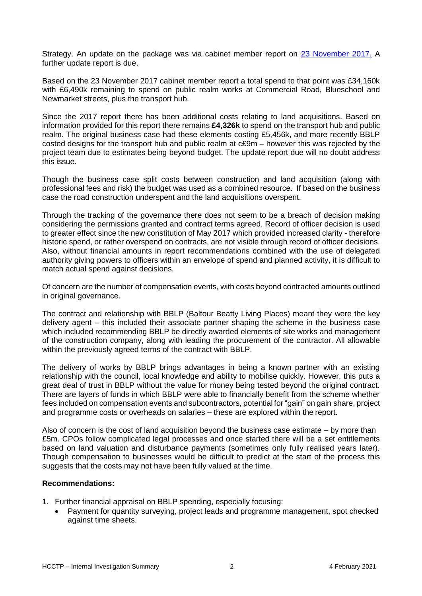Strategy. An update on the package was via cabinet member report on [23 November 2017.](http://councillors.herefordshire.gov.uk/mgIssueHistoryHome.aspx?IId=50023802) A further update report is due.

Based on the 23 November 2017 cabinet member report a total spend to that point was £34,160k with £6,490k remaining to spend on public realm works at Commercial Road, Blueschool and Newmarket streets, plus the transport hub.

Since the 2017 report there has been additional costs relating to land acquisitions. Based on information provided for this report there remains **£4,326k** to spend on the transport hub and public realm. The original business case had these elements costing £5,456k, and more recently BBLP costed designs for the transport hub and public realm at c£9m – however this was rejected by the project team due to estimates being beyond budget. The update report due will no doubt address this issue.

Though the business case split costs between construction and land acquisition (along with professional fees and risk) the budget was used as a combined resource. If based on the business case the road construction underspent and the land acquisitions overspent.

Through the tracking of the governance there does not seem to be a breach of decision making considering the permissions granted and contract terms agreed. Record of officer decision is used to greater effect since the new constitution of May 2017 which provided increased clarity - therefore historic spend, or rather overspend on contracts, are not visible through record of officer decisions. Also, without financial amounts in report recommendations combined with the use of delegated authority giving powers to officers within an envelope of spend and planned activity, it is difficult to match actual spend against decisions.

Of concern are the number of compensation events, with costs beyond contracted amounts outlined in original governance.

The contract and relationship with BBLP (Balfour Beatty Living Places) meant they were the key delivery agent – this included their associate partner shaping the scheme in the business case which included recommending BBLP be directly awarded elements of site works and management of the construction company, along with leading the procurement of the contractor. All allowable within the previously agreed terms of the contract with BBLP.

The delivery of works by BBLP brings advantages in being a known partner with an existing relationship with the council, local knowledge and ability to mobilise quickly. However, this puts a great deal of trust in BBLP without the value for money being tested beyond the original contract. There are layers of funds in which BBLP were able to financially benefit from the scheme whether fees included on compensation events and subcontractors, potential for "gain" on gain share, project and programme costs or overheads on salaries – these are explored within the report.

Also of concern is the cost of land acquisition beyond the business case estimate – by more than £5m. CPOs follow complicated legal processes and once started there will be a set entitlements based on land valuation and disturbance payments (sometimes only fully realised years later). Though compensation to businesses would be difficult to predict at the start of the process this suggests that the costs may not have been fully valued at the time.

#### **Recommendations:**

- 1. Further financial appraisal on BBLP spending, especially focusing:
	- Payment for quantity surveying, project leads and programme management, spot checked against time sheets.